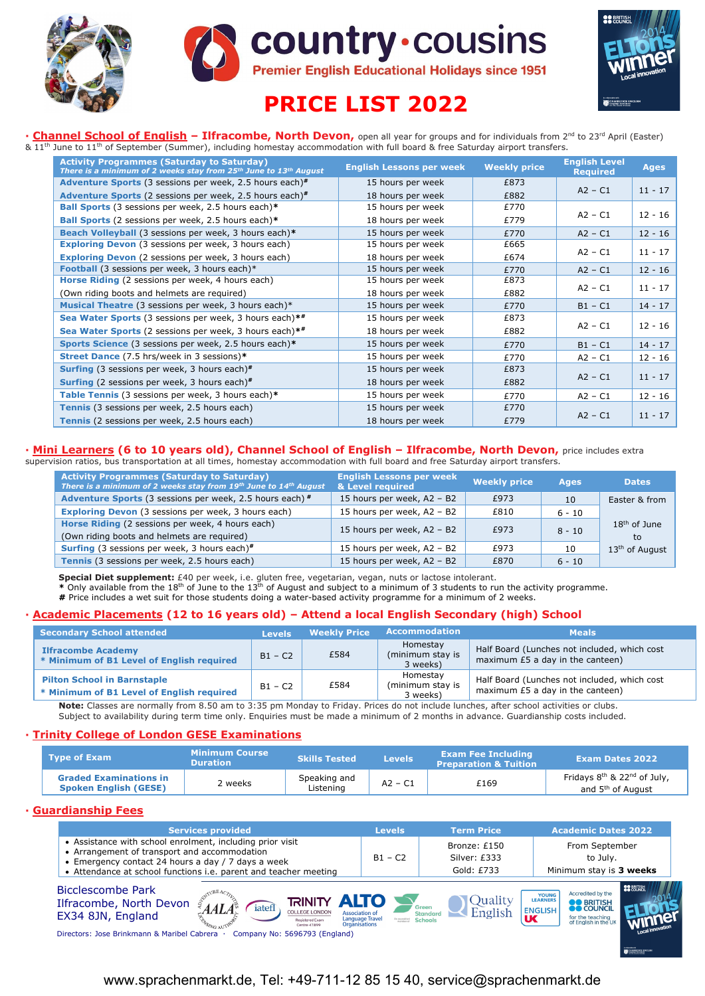





# **PRICE LIST 2022**

**· Channel School of English - Ilfracombe, North Devon, open all year for groups and for individuals from 2<sup>nd</sup> to 23<sup>rd</sup> April (Easter)**  $8.11<sup>th</sup>$  June to 11<sup>th</sup> of September (Summer), including homestay accommodation with full board & free Saturday airport transfers.

| <b>Activity Programmes (Saturday to Saturday)</b><br>There is a minimum of 2 weeks stay from 25th June to 13th August | <b>English Lessons per week</b> | <b>Weekly price</b> | <b>English Level</b><br><b>Required</b> | <b>Ages</b> |
|-----------------------------------------------------------------------------------------------------------------------|---------------------------------|---------------------|-----------------------------------------|-------------|
| <b>Adventure Sports</b> (3 sessions per week, 2.5 hours each) <sup>#</sup>                                            | 15 hours per week               | £873                |                                         |             |
| <b>Adventure Sports</b> (2 sessions per week, 2.5 hours each) <sup>#</sup>                                            | 18 hours per week               | £882                | $A2 - C1$                               | $11 - 17$   |
| <b>Ball Sports</b> (3 sessions per week, 2.5 hours each)*                                                             | 15 hours per week               | £770                |                                         |             |
| Ball Sports (2 sessions per week, 2.5 hours each)*                                                                    | 18 hours per week               | £779                | $A2 - C1$                               | $12 - 16$   |
| Beach Volleyball (3 sessions per week, 3 hours each)*                                                                 | 15 hours per week               | £770                | $A2 - C1$                               | $12 - 16$   |
| <b>Exploring Devon</b> (3 sessions per week, 3 hours each)                                                            | 15 hours per week               | £665                |                                         |             |
| <b>Exploring Devon</b> (2 sessions per week, 3 hours each)                                                            | 18 hours per week               | £674                | $A2 - C1$                               | $11 - 17$   |
| Football (3 sessions per week, 3 hours each)*                                                                         | 15 hours per week               | £770                | $A2 - C1$                               | $12 - 16$   |
| Horse Riding (2 sessions per week, 4 hours each)                                                                      | 15 hours per week               | £873                |                                         |             |
| (Own riding boots and helmets are required)                                                                           | 18 hours per week               | £882                | $A2 - C1$                               | $11 - 17$   |
| Musical Theatre (3 sessions per week, 3 hours each)*                                                                  | 15 hours per week               | £770                | $B1 - C1$                               | $14 - 17$   |
| Sea Water Sports (3 sessions per week, 3 hours each)**                                                                | 15 hours per week               | £873                |                                         |             |
| Sea Water Sports (2 sessions per week, 3 hours each)**                                                                | 18 hours per week               | £882                | $A2 - C1$                               | $12 - 16$   |
| Sports Science (3 sessions per week, 2.5 hours each)*                                                                 | 15 hours per week               | £770                | $B1 - C1$                               | $14 - 17$   |
| Street Dance (7.5 hrs/week in 3 sessions)*                                                                            | 15 hours per week               | £770                | $A2 - C1$                               | $12 - 16$   |
| <b>Surfing</b> (3 sessions per week, 3 hours each) <sup>#</sup>                                                       | 15 hours per week               | £873                |                                         |             |
| <b>Surfing</b> (2 sessions per week, 3 hours each) $*$                                                                | 18 hours per week               | £882                | $A2 - C1$                               | $11 - 17$   |
| Table Tennis (3 sessions per week, 3 hours each)*                                                                     | 15 hours per week               | £770                | $A2 - C1$                               | $12 - 16$   |
| Tennis (3 sessions per week, 2.5 hours each)                                                                          | 15 hours per week               | £770                |                                         |             |
| Tennis (2 sessions per week, 2.5 hours each)                                                                          | 18 hours per week               | £779                | $A2 - C1$                               | $11 - 17$   |

## **· Mini Learners (6 to 10 years old), Channel School of English – Ilfracombe, North Devon,** price includes extra

supervision ratios, bus transportation at all times, homestay accommodation with full board and free Saturday airport transfers.

| <b>Activity Programmes (Saturday to Saturday)</b><br>There is a minimum of 2 weeks stay from 19th June to 14th August | <b>English Lessons per week</b><br>& Level required | <b>Weekly price</b> | <b>Ages</b> | <b>Dates</b>               |
|-----------------------------------------------------------------------------------------------------------------------|-----------------------------------------------------|---------------------|-------------|----------------------------|
| Adventure Sports (3 sessions per week, 2.5 hours each) #                                                              | 15 hours per week, A2 - B2                          | £973                | 10          | Easter & from              |
| <b>Exploring Devon</b> (3 sessions per week, 3 hours each)                                                            | 15 hours per week, A2 - B2                          | £810                | $6 - 10$    |                            |
| Horse Riding (2 sessions per week, 4 hours each)<br>(Own riding boots and helmets are required)                       | 15 hours per week, A2 - B2                          | £973                | $8 - 10$    | $18th$ of June<br>to       |
| <b>Surfing</b> (3 sessions per week, 3 hours each) <sup>#</sup>                                                       | 15 hours per week, A2 - B2                          | £973                | 10          | 13 <sup>th</sup> of August |
| Tennis (3 sessions per week, 2.5 hours each)                                                                          | 15 hours per week, A2 - B2                          | £870                | $6 - 10$    |                            |

**Special Diet supplement:** £40 per week, i.e. gluten free, vegetarian, vegan, nuts or lactose intolerant.<br>\* Only available from the 18<sup>th</sup> of June to the 13<sup>th</sup> of August and subject to a minimum of 3 students to run the a

**#** Price includes a wet suit for those students doing a water-based activity programme for a minimum of 2 weeks.

### **· Academic Placements (12 to 16 years old) – Attend a local English Secondary (high) School**

| <b>Secondary School attended</b>                                                | <b>Levels</b> | <b>Weekly Price</b> | <b>Accommodation</b>                     | <b>Meals</b>                                                                       |
|---------------------------------------------------------------------------------|---------------|---------------------|------------------------------------------|------------------------------------------------------------------------------------|
| <b>Ilfracombe Academy</b><br>* Minimum of B1 Level of English required          | $B1 - C2$     | £584                | Homestav<br>(minimum stay is<br>3 weeks) | Half Board (Lunches not included, which cost<br>maximum £5 a day in the canteen)   |
| <b>Pilton School in Barnstaple</b><br>* Minimum of B1 Level of English required | $B1 - C2$     | £584                | Homestav<br>(minimum stay is<br>3 weeks) | Half Board (Lunches not included, which cost<br>maximum $£5$ a day in the canteen) |

**Note:** Classes are normally from 8.50 am to 3:35 pm Monday to Friday. Prices do not include lunches, after school activities or clubs. Subject to availability during term time only. Enquiries must be made a minimum of 2 months in advance. Guardianship costs included.

#### **· Trinity College of London GESE Examinations**

| <b>Type of Exam</b>                                           | <b>Minimum Course</b><br><b>Duration</b> | Skills Tested             | <b>Levels</b> | <b>Exam Fee Including</b><br><b>Preparation &amp; Tuition</b> | <b>Exam Dates 2022</b>                                       |
|---------------------------------------------------------------|------------------------------------------|---------------------------|---------------|---------------------------------------------------------------|--------------------------------------------------------------|
| <b>Graded Examinations in</b><br><b>Spoken English (GESE)</b> | 2 weeks                                  | Speaking and<br>Listenina | $A2 - C1$     | £169                                                          | Fridays 8th & 22nd of July,<br>and 5 <sup>th</sup> of August |

### **· Guardianship Fees**

| <b>Services provided</b>                                                                                                                                                                                                                                                                       | <b>Levels</b>                           | <b>Term Price</b>                                                | <b>Academic Dates 2022</b>                                                                                                                                                                              |
|------------------------------------------------------------------------------------------------------------------------------------------------------------------------------------------------------------------------------------------------------------------------------------------------|-----------------------------------------|------------------------------------------------------------------|---------------------------------------------------------------------------------------------------------------------------------------------------------------------------------------------------------|
| • Assistance with school enrolment, including prior visit<br>• Arrangement of transport and accommodation<br>• Emergency contact 24 hours a day / 7 days a week<br>• Attendance at school functions i.e. parent and teacher meeting                                                            | $B1 - C2$                               | Bronze: £150<br>Silver: £333<br>Gold: £733                       | From September<br>to July.<br>Minimum stay is 3 weeks                                                                                                                                                   |
| Bicclescombe Park<br><b>TRINITY ALTO</b><br>Ilfracombe, North Devon<br>iatef<br><b>COLLEGE LONDON</b><br><b>Association of</b><br>EX34 8JN, England<br><b>Registered Exam</b><br>Organisations<br>Centre 47899<br>Directors: Jose Brinkmann & Maribel Cabrera<br>Company No: 5696793 (England) | <b>Language Travel</b><br>berikerato ed | Quality<br>Green<br>English<br><b>Standard</b><br><b>Schools</b> | <b>SS BRITISH</b><br>Accredited by the<br><b>YOUNG</b><br><b>LEARNERS</b><br><b>BO</b> BRITISH<br><b>ENGLISH</b><br><b>UK</b><br>for the teaching<br>of English in the UK<br><b>N CAMBRIDGE ENGLISH</b> |

# www.sprachenmarkt.de, Tel: +49-711-12 85 15 40, service@sprachenmarkt.de